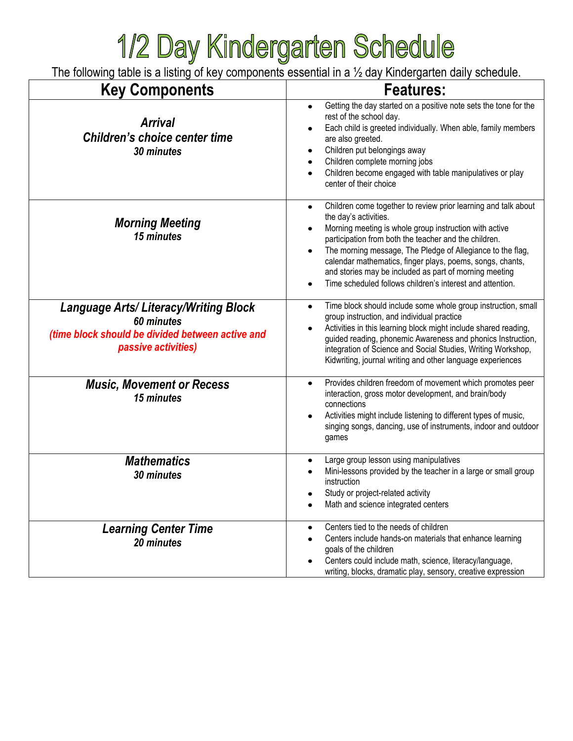## **1/2 Day Kindergarten Schedule**<br>The following table is a listing of key components essential in a 1/2 day Kindergarten daily schedule.

| <b>Key Components</b>                                                                                                                | <b>Features:</b>                                                                                                                                                                                                                                                                                                                                                                                                                                             |
|--------------------------------------------------------------------------------------------------------------------------------------|--------------------------------------------------------------------------------------------------------------------------------------------------------------------------------------------------------------------------------------------------------------------------------------------------------------------------------------------------------------------------------------------------------------------------------------------------------------|
| <b>Arrival</b><br><b>Children's choice center time</b><br>30 minutes                                                                 | Getting the day started on a positive note sets the tone for the<br>rest of the school day.<br>Each child is greeted individually. When able, family members<br>are also greeted.<br>Children put belongings away<br>Children complete morning jobs<br>Children become engaged with table manipulatives or play<br>center of their choice                                                                                                                    |
| <b>Morning Meeting</b><br>15 minutes                                                                                                 | Children come together to review prior learning and talk about<br>the day's activities.<br>Morning meeting is whole group instruction with active<br>participation from both the teacher and the children.<br>The morning message, The Pledge of Allegiance to the flag,<br>calendar mathematics, finger plays, poems, songs, chants,<br>and stories may be included as part of morning meeting<br>Time scheduled follows children's interest and attention. |
| <b>Language Arts/Literacy/Writing Block</b><br>60 minutes<br>(time block should be divided between active and<br>passive activities) | Time block should include some whole group instruction, small<br>$\bullet$<br>group instruction, and individual practice<br>Activities in this learning block might include shared reading,<br>guided reading, phonemic Awareness and phonics Instruction,<br>integration of Science and Social Studies, Writing Workshop,<br>Kidwriting, journal writing and other language experiences                                                                     |
| <b>Music, Movement or Recess</b><br>15 minutes                                                                                       | Provides children freedom of movement which promotes peer<br>٠<br>interaction, gross motor development, and brain/body<br>connections<br>Activities might include listening to different types of music,<br>singing songs, dancing, use of instruments, indoor and outdoor<br>games                                                                                                                                                                          |
| <b>Mathematics</b><br>30 minutes                                                                                                     | Large group lesson using manipulatives<br>Mini-lessons provided by the teacher in a large or small group<br>instruction<br>Study or project-related activity<br>Math and science integrated centers                                                                                                                                                                                                                                                          |
| <b>Learning Center Time</b><br>20 minutes                                                                                            | Centers tied to the needs of children<br>Centers include hands-on materials that enhance learning<br>goals of the children<br>Centers could include math, science, literacy/language,<br>writing, blocks, dramatic play, sensory, creative expression                                                                                                                                                                                                        |